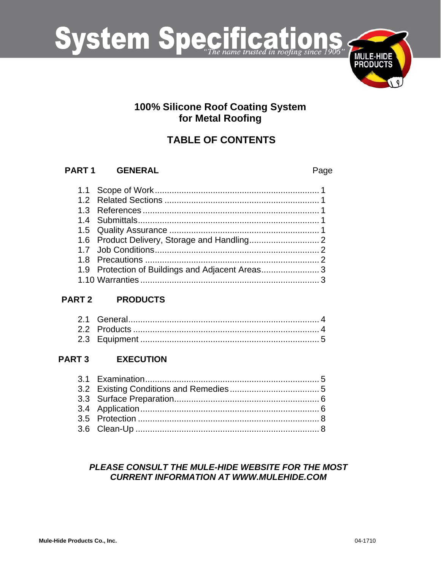

## 100% Silicone Roof Coating System for Metal Roofing

# **TABLE OF CONTENTS**

#### PART<sub>1</sub> **GENERAL**

Page

| 1.9 Protection of Buildings and Adjacent Areas3 |  |
|-------------------------------------------------|--|
|                                                 |  |

#### **PART 2 PRODUCTS**

#### PART<sub>3</sub> **EXECUTION**

## PLEASE CONSULT THE MULE-HIDE WEBSITE FOR THE MOST **CURRENT INFORMATION AT WWW.MULEHIDE.COM**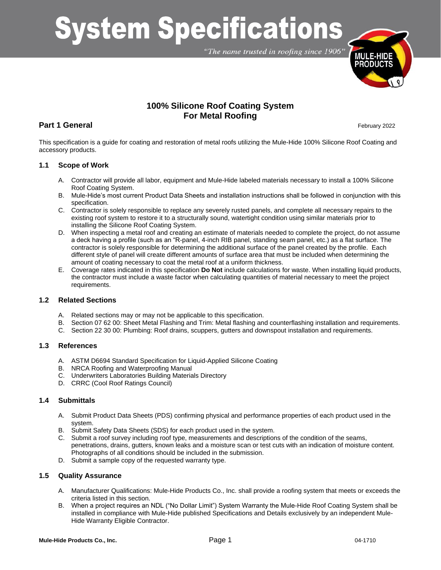# **System Specifications**

"The name trusted in roofing since 1906"



## **100% Silicone Roof Coating System For Metal Roofing**

### **Part 1 General** February 2022

This specification is a guide for coating and restoration of metal roofs utilizing the Mule-Hide 100% Silicone Roof Coating and accessory products.

#### **1.1 Scope of Work**

- A. Contractor will provide all labor, equipment and Mule-Hide labeled materials necessary to install a 100% Silicone Roof Coating System.
- B. Mule-Hide's most current Product Data Sheets and installation instructions shall be followed in conjunction with this specification.
- C. Contractor is solely responsible to replace any severely rusted panels, and complete all necessary repairs to the existing roof system to restore it to a structurally sound, watertight condition using similar materials prior to installing the Silicone Roof Coating System.
- D. When inspecting a metal roof and creating an estimate of materials needed to complete the project, do not assume a deck having a profile (such as an "R-panel, 4-inch RIB panel, standing seam panel, etc.) as a flat surface. The contractor is solely responsible for determining the additional surface of the panel created by the profile. Each different style of panel will create different amounts of surface area that must be included when determining the amount of coating necessary to coat the metal roof at a uniform thickness.
- E. Coverage rates indicated in this specification **Do Not** include calculations for waste. When installing liquid products, the contractor must include a waste factor when calculating quantities of material necessary to meet the project requirements.

#### **1.2 Related Sections**

- A. Related sections may or may not be applicable to this specification.
- B. Section 07 62 00: Sheet Metal Flashing and Trim: Metal flashing and counterflashing installation and requirements.
- C. Section 22 30 00: Plumbing: Roof drains, scuppers, gutters and downspout installation and requirements.

#### **1.3 References**

- A. ASTM D6694 Standard Specification for Liquid-Applied Silicone Coating
- B. NRCA Roofing and Waterproofing Manual
- C. Underwriters Laboratories Building Materials Directory
- D. CRRC (Cool Roof Ratings Council)

#### **1.4 Submittals**

- A. Submit Product Data Sheets (PDS) confirming physical and performance properties of each product used in the system.
- B. Submit Safety Data Sheets (SDS) for each product used in the system.
- C. Submit a roof survey including roof type, measurements and descriptions of the condition of the seams, penetrations, drains, gutters, known leaks and a moisture scan or test cuts with an indication of moisture content. Photographs of all conditions should be included in the submission.
- D. Submit a sample copy of the requested warranty type.

#### **1.5 Quality Assurance**

- A. Manufacturer Qualifications: Mule-Hide Products Co., Inc. shall provide a roofing system that meets or exceeds the criteria listed in this section.
- B. When a project requires an NDL ("No Dollar Limit") System Warranty the Mule-Hide Roof Coating System shall be installed in compliance with Mule-Hide published Specifications and Details exclusively by an independent Mule-Hide Warranty Eligible Contractor.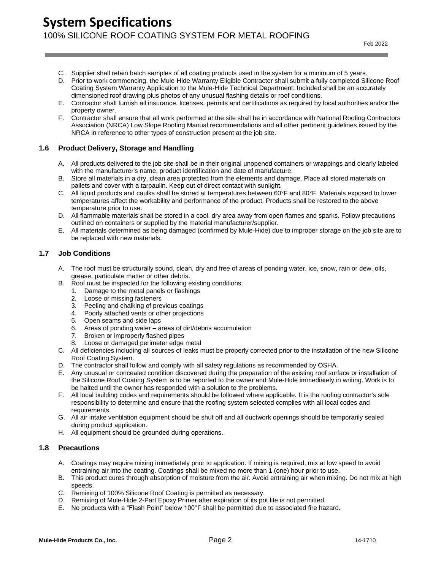- C. Supplier shall retain batch samples of all coating products used in the system for a minimum of 5 years.
- D. Prior to work commencing, the Mule-Hide Warranty Eligible Contractor shall submit a fully completed Silicone Roof Coating System Warranty Application to the Mule-Hide Technical Department. Included shall be an accurately dimensioned roof drawing plus photos of any unusual flashing details or roof conditions.
- E. Contractor shall furnish all insurance, licenses, permits and certifications as required by local authorities and/or the property owner.
- F. Contractor shall ensure that all work performed at the site shall be in accordance with National Roofing Contractors Association (NRCA) Low Slope Roofing Manual recommendations and all other pertinent guidelines issued by the NRCA in reference to other types of construction present at the job site.

#### **1.6 Product Delivery, Storage and Handling**

- A. All products delivered to the job site shall be in their original unopened containers or wrappings and clearly labeled with the manufacturer's name, product identification and date of manufacture.
- B. Store all materials in a dry, clean area protected from the elements and damage. Place all stored materials on pallets and cover with a tarpaulin. Keep out of direct contact with sunlight.
- C. All liquid products and caulks shall be stored at temperatures between 60°F and 80°F. Materials exposed to lower temperatures affect the workability and performance of the product. Products shall be restored to the above temperature prior to use.
- D. All flammable materials shall be stored in a cool, dry area away from open flames and sparks. Follow precautions outlined on containers or supplied by the material manufacturer/supplier.
- E. All materials determined as being damaged (confirmed by Mule-Hide) due to improper storage on the job site are to be replaced with new materials.

#### **1.7 Job Conditions**

- A. The roof must be structurally sound, clean, dry and free of areas of ponding water, ice, snow, rain or dew, oils, grease, particulate matter or other debris.
- B. Roof must be inspected for the following existing conditions:
	- 1. Damage to the metal panels or flashings
	- 2. Loose or missing fasteners
	- 3. Peeling and chalking of previous coatings
	- 4. Poorly attached vents or other projections
	- 5. Open seams and side laps
	- 6. Areas of ponding water areas of dirt/debris accumulation
	- 7. Broken or improperly flashed pipes
	- 8. Loose or damaged perimeter edge metal
- C. All deficiencies including all sources of leaks must be properly corrected prior to the installation of the new Silicone Roof Coating System.
- D. The contractor shall follow and comply with all safety regulations as recommended by OSHA.
- E. Any unusual or concealed condition discovered during the preparation of the existing roof surface or installation of the Silicone Roof Coating System is to be reported to the owner and Mule-Hide immediately in writing. Work is to be halted until the owner has responded with a solution to the problems.
- F. All local building codes and requirements should be followed where applicable. It is the roofing contractor's sole responsibility to determine and ensure that the roofing system selected complies with all local codes and requirements.
- G. All air intake ventilation equipment should be shut off and all ductwork openings should be temporarily sealed during product application.
- H. All equipment should be grounded during operations.

#### **1.8 Precautions**

- A. Coatings may require mixing immediately prior to application. If mixing is required, mix at low speed to avoid entraining air into the coating. Coatings shall be mixed no more than 1 (one) hour prior to use.
- B. This product cures through absorption of moisture from the air. Avoid entraining air when mixing. Do not mix at high speeds.
- C. Remixing of 100% Silicone Roof Coating is permitted as necessary.
- D. Remixing of Mule-Hide 2-Part Epoxy Primer after expiration of its pot life is not permitted.
- E. No products with a "Flash Point" below 100°F shall be permitted due to associated fire hazard.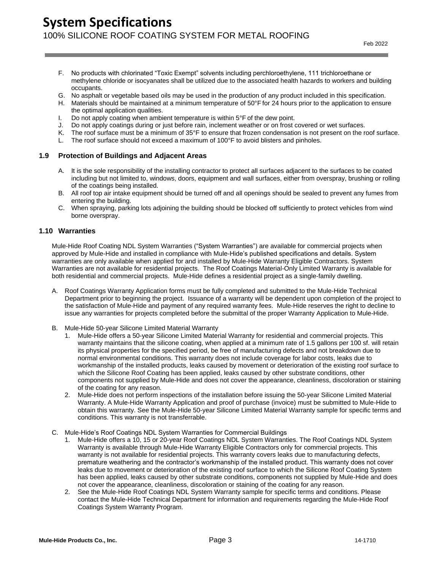## **System Specifications** 100% SILICONE ROOF COATING SYSTEM FOR METAL ROOFING

- F. No products with chlorinated "Toxic Exempt" solvents including perchloroethylene, 111 trichloroethane or methylene chloride or isocyanates shall be utilized due to the associated health hazards to workers and building occupants.
- G. No asphalt or vegetable based oils may be used in the production of any product included in this specification.
- H. Materials should be maintained at a minimum temperature of 50°F for 24 hours prior to the application to ensure the optimal application qualities.
- 
- I. Do not apply coating when ambient temperature is within  $5^{\circ}F$  of the dew point.<br>J. Do not apply coatings during or just before rain, inclement weather or on frost  $K$ . The roof surface must be a minimum of  $35^{\circ}F$ Do not apply coatings during or just before rain, inclement weather or on frost covered or wet surfaces.
- The roof surface must be a minimum of 35°F to ensure that frozen condensation is not present on the roof surface.
- L. The roof surface should not exceed a maximum of 100°F to avoid blisters and pinholes.

#### **1.9 Protection of Buildings and Adjacent Areas**

- A. It is the sole responsibility of the installing contractor to protect all surfaces adjacent to the surfaces to be coated including but not limited to, windows, doors, equipment and wall surfaces, either from overspray, brushing or rolling of the coatings being installed.
- B. All roof top air intake equipment should be turned off and all openings should be sealed to prevent any fumes from entering the building.
- C. When spraying, parking lots adjoining the building should be blocked off sufficiently to protect vehicles from wind borne overspray.

#### **1.10 Warranties**

Mule-Hide Roof Coating NDL System Warranties ("System Warranties") are available for commercial projects when approved by Mule-Hide and installed in compliance with Mule-Hide's published specifications and details. System warranties are only available when applied for and installed by Mule-Hide Warranty Eligible Contractors. System Warranties are not available for residential projects. The Roof Coatings Material-Only Limited Warranty is available for both residential and commercial projects. Mule-Hide defines a residential project as a single-family dwelling.

- A. Roof Coatings Warranty Application forms must be fully completed and submitted to the Mule-Hide Technical Department prior to beginning the project. Issuance of a warranty will be dependent upon completion of the project to the satisfaction of Mule-Hide and payment of any required warranty fees. Mule-Hide reserves the right to decline to issue any warranties for projects completed before the submittal of the proper Warranty Application to Mule-Hide.
- B. Mule-Hide 50-year Silicone Limited Material Warranty
	- 1. Mule-Hide offers a 50-year Silicone Limited Material Warranty for residential and commercial projects. This warranty maintains that the silicone coating, when applied at a minimum rate of 1.5 gallons per 100 sf. will retain its physical properties for the specified period, be free of manufacturing defects and not breakdown due to normal environmental conditions. This warranty does not include coverage for labor costs, leaks due to workmanship of the installed products, leaks caused by movement or deterioration of the existing roof surface to which the Silicone Roof Coating has been applied, leaks caused by other substrate conditions, other components not supplied by Mule-Hide and does not cover the appearance, cleanliness, discoloration or staining of the coating for any reason.
	- 2. Mule-Hide does not perform inspections of the installation before issuing the 50-year Silicone Limited Material Warranty. A Mule-Hide Warranty Application and proof of purchase (invoice) must be submitted to Mule-Hide to obtain this warranty. See the Mule-Hide 50-year Silicone Limited Material Warranty sample for specific terms and conditions. This warranty is not transferrable.
- C. Mule-Hide's Roof Coatings NDL System Warranties for Commercial Buildings
	- 1. Mule-Hide offers a 10, 15 or 20-year Roof Coatings NDL System Warranties. The Roof Coatings NDL System Warranty is available through Mule-Hide Warranty Eligible Contractors only for commercial projects. This warranty is not available for residential projects. This warranty covers leaks due to manufacturing defects, premature weathering and the contractor's workmanship of the installed product. This warranty does not cover leaks due to movement or deterioration of the existing roof surface to which the Silicone Roof Coating System has been applied, leaks caused by other substrate conditions, components not supplied by Mule-Hide and does not cover the appearance, cleanliness, discoloration or staining of the coating for any reason.
	- 2. See the Mule-Hide Roof Coatings NDL System Warranty sample for specific terms and conditions. Please contact the Mule-Hide Technical Department for information and requirements regarding the Mule-Hide Roof Coatings System Warranty Program.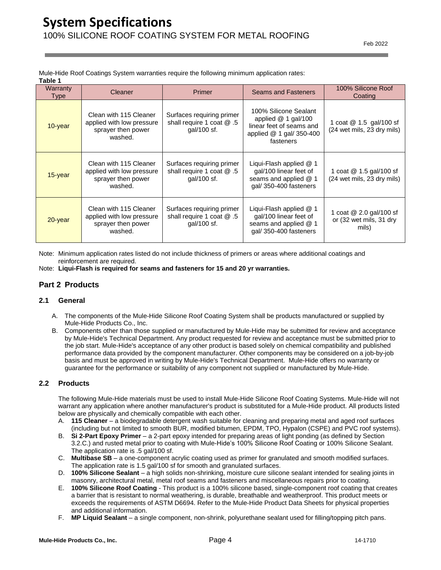Mule-Hide Roof Coatings System warranties require the following minimum application rates: **Table 1**

| Warranty<br><b>Type</b> | Cleaner                                                                              | <b>Primer</b>                                                         | <b>Seams and Fasteners</b>                                                                                         | 100% Silicone Roof<br>Coating                               |
|-------------------------|--------------------------------------------------------------------------------------|-----------------------------------------------------------------------|--------------------------------------------------------------------------------------------------------------------|-------------------------------------------------------------|
| 10-year                 | Clean with 115 Cleaner<br>applied with low pressure<br>sprayer then power<br>washed. | Surfaces requiring primer<br>shall require 1 coat @ .5<br>qal/100 sf. | 100% Silicone Sealant<br>applied $@1$ gal/100<br>linear feet of seams and<br>applied @ 1 gal/ 350-400<br>fasteners | 1 coat @ 1.5 gal/100 sf<br>(24 wet mils, 23 dry mils)       |
| $15$ -year              | Clean with 115 Cleaner<br>applied with low pressure<br>sprayer then power<br>washed. | Surfaces requiring primer<br>shall require 1 coat @ .5<br>qal/100 sf. | Liqui-Flash applied @ 1<br>gal/100 linear feet of<br>seams and applied @ 1<br>gal/350-400 fasteners                | 1 coat @ 1.5 gal/100 sf<br>(24 wet mils, 23 dry mils)       |
| 20-year                 | Clean with 115 Cleaner<br>applied with low pressure<br>sprayer then power<br>washed. | Surfaces requiring primer<br>shall require 1 coat @ .5<br>gal/100 sf. | Liqui-Flash applied @ 1<br>gal/100 linear feet of<br>seams and applied @ 1<br>gal/350-400 fasteners                | 1 coat @ 2.0 gal/100 sf<br>or (32 wet mils, 31 dry<br>mils) |

Note: Minimum application rates listed do not include thickness of primers or areas where additional coatings and reinforcement are required.

Note: **Liqui-Flash is required for seams and fasteners for 15 and 20 yr warranties.**

#### **Part 2 Products**

#### **2.1 General**

- A. The components of the Mule-Hide Silicone Roof Coating System shall be products manufactured or supplied by Mule-Hide Products Co., Inc.
- B. Components other than those supplied or manufactured by Mule-Hide may be submitted for review and acceptance by Mule-Hide's Technical Department. Any product requested for review and acceptance must be submitted prior to the job start. Mule-Hide's acceptance of any other product is based solely on chemical compatibility and published performance data provided by the component manufacturer. Other components may be considered on a job-by-job basis and must be approved in writing by Mule-Hide's Technical Department. Mule-Hide offers no warranty or guarantee for the performance or suitability of any component not supplied or manufactured by Mule-Hide.

#### **2.2 Products**

The following Mule-Hide materials must be used to install Mule-Hide Silicone Roof Coating Systems. Mule-Hide will not warrant any application where another manufacturer's product is substituted for a Mule-Hide product. All products listed below are physically and chemically compatible with each other.

- A. **115 Cleaner** a biodegradable detergent wash suitable for cleaning and preparing metal and aged roof surfaces (including but not limited to smooth BUR, modified bitumen, EPDM, TPO, Hypalon (CSPE) and PVC roof systems).
- B. **Si 2-Part Epoxy Primer** a 2-part epoxy intended for preparing areas of light ponding (as defined by Section 3.2.C.) and rusted metal prior to coating with Mule-Hide's 100% Silicone Roof Coating or 100% Silicone Sealant. The application rate is .5 gal/100 sf.
- C. **Multibase SB** a one-component acrylic coating used as primer for granulated and smooth modified surfaces. The application rate is 1.5 gal/100 sf for smooth and granulated surfaces.
- D. **100% Silicone Sealant** a high solids non-shrinking, moisture cure silicone sealant intended for sealing joints in masonry, architectural metal, metal roof seams and fasteners and miscellaneous repairs prior to coating.
- E. **100% Silicone Roof Coating** This product is a 100% silicone based, single-component roof coating that creates a barrier that is resistant to normal weathering, is durable, breathable and weatherproof. This product meets or exceeds the requirements of ASTM D6694. Refer to the Mule-Hide Product Data Sheets for physical properties and additional information.
- F. **MP Liquid Sealant** a single component, non-shrink, polyurethane sealant used for filling/topping pitch pans.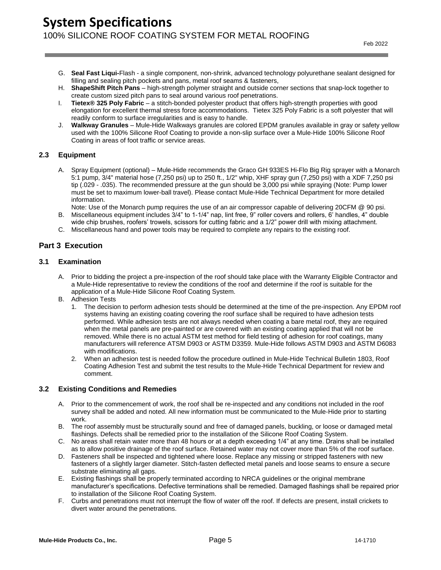## **System Specifications** 100% SILICONE ROOF COATING SYSTEM FOR METAL ROOFING

- G. **Seal Fast Liqui-**Flash a single component, non-shrink, advanced technology polyurethane sealant designed for filling and sealing pitch pockets and pans, metal roof seams & fasteners,
- H. **ShapeShift Pitch Pans** high-strength polymer straight and outside corner sections that snap-lock together to create custom sized pitch pans to seal around various roof penetrations.
- I. **Tietex® 325 Poly Fabric** a stitch-bonded polyester product that offers high-strength properties with good elongation for excellent thermal stress force accommodations. Tietex 325 Poly Fabric is a soft polyester that will readily conform to surface irregularities and is easy to handle.
- J. **Walkway Granules** Mule-Hide Walkways granules are colored EPDM granules available in gray or safety yellow used with the 100% Silicone Roof Coating to provide a non-slip surface over a Mule-Hide 100% Silicone Roof Coating in areas of foot traffic or service areas.

#### **2.3 Equipment**

- A. Spray Equipment (optional) Mule-Hide recommends the Graco GH 933ES Hi-Flo Big Rig sprayer with a Monarch 5:1 pump, 3/4" material hose (7,250 psi) up to 250 ft., 1/2" whip, XHF spray gun (7,250 psi) with a XDF 7,250 psi tip (.029 - .035). The recommended pressure at the gun should be 3,000 psi while spraying (Note: Pump lower must be set to maximum lower-ball travel). Please contact Mule-Hide Technical Department for more detailed information.
- Note: Use of the Monarch pump requires the use of an air compressor capable of delivering 20CFM @ 90 psi. B. Miscellaneous equipment includes 3/4" to 1-1/4" nap, lint free, 9" roller covers and rollers, 6' handles, 4" double
- wide chip brushes, roofers' trowels, scissors for cutting fabric and a 1/2" power drill with mixing attachment. C. Miscellaneous hand and power tools may be required to complete any repairs to the existing roof.

#### **Part 3 Execution**

#### **3.1 Examination**

- A. Prior to bidding the project a pre-inspection of the roof should take place with the Warranty Eligible Contractor and a Mule-Hide representative to review the conditions of the roof and determine if the roof is suitable for the application of a Mule-Hide Silicone Roof Coating System.
- B. Adhesion Tests
	- 1. The decision to perform adhesion tests should be determined at the time of the pre-inspection. Any EPDM roof systems having an existing coating covering the roof surface shall be required to have adhesion tests performed. While adhesion tests are not always needed when coating a bare metal roof, they are required when the metal panels are pre-painted or are covered with an existing coating applied that will not be removed. While there is no actual ASTM test method for field testing of adhesion for roof coatings, many manufacturers will reference ATSM D903 or ASTM D3359. Mule-Hide follows ASTM D903 and ASTM D6083 with modifications.
	- 2. When an adhesion test is needed follow the procedure outlined in Mule-Hide Technical Bulletin 1803, Roof Coating Adhesion Test and submit the test results to the Mule-Hide Technical Department for review and comment.

#### **3.2 Existing Conditions and Remedies**

- A. Prior to the commencement of work, the roof shall be re-inspected and any conditions not included in the roof survey shall be added and noted. All new information must be communicated to the Mule-Hide prior to starting work.
- B. The roof assembly must be structurally sound and free of damaged panels, buckling, or loose or damaged metal flashings. Defects shall be remedied prior to the installation of the Silicone Roof Coating System.
- C. No areas shall retain water more than 48 hours or at a depth exceeding 1/4" at any time. Drains shall be installed as to allow positive drainage of the roof surface. Retained water may not cover more than 5% of the roof surface.
- D. Fasteners shall be inspected and tightened where loose. Replace any missing or stripped fasteners with new fasteners of a slightly larger diameter. Stitch-fasten deflected metal panels and loose seams to ensure a secure substrate eliminating all gaps.
- E. Existing flashings shall be properly terminated according to NRCA guidelines or the original membrane manufacturer's specifications. Defective terminations shall be remedied. Damaged flashings shall be repaired prior to installation of the Silicone Roof Coating System.
- F. Curbs and penetrations must not interrupt the flow of water off the roof. If defects are present, install crickets to divert water around the penetrations.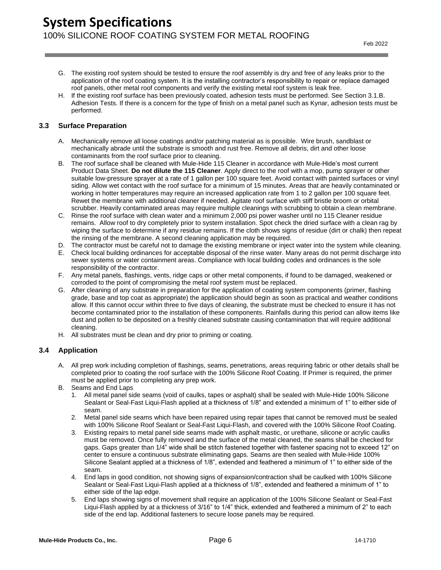- G. The existing roof system should be tested to ensure the roof assembly is dry and free of any leaks prior to the application of the roof coating system. It is the installing contractor's responsibility to repair or replace damaged roof panels, other metal roof components and verify the existing metal roof system is leak free.
- H. If the existing roof surface has been previously coated, adhesion tests must be performed. See Section 3.1.B. Adhesion Tests. If there is a concern for the type of finish on a metal panel such as Kynar, adhesion tests must be performed.

#### **3.3 Surface Preparation**

- A. Mechanically remove all loose coatings and/or patching material as is possible. Wire brush, sandblast or mechanically abrade until the substrate is smooth and rust free. Remove all debris, dirt and other loose contaminants from the roof surface prior to cleaning.
- B. The roof surface shall be cleaned with Mule-Hide 115 Cleaner in accordance with Mule-Hide's most current Product Data Sheet. **Do not dilute the 115 Cleaner**. Apply direct to the roof with a mop, pump sprayer or other suitable low-pressure sprayer at a rate of 1 gallon per 100 square feet. Avoid contact with painted surfaces or vinyl siding. Allow wet contact with the roof surface for a minimum of 15 minutes. Areas that are heavily contaminated or working in hotter temperatures may require an increased application rate from 1 to 2 gallon per 100 square feet. Rewet the membrane with additional cleaner if needed. Agitate roof surface with stiff bristle broom or orbital scrubber. Heavily contaminated areas may require multiple cleanings with scrubbing to obtain a clean membrane.
- C. Rinse the roof surface with clean water and a minimum 2,000 psi power washer until no 115 Cleaner residue remains. Allow roof to dry completely prior to system installation. Spot check the dried surface with a clean rag by wiping the surface to determine if any residue remains. If the cloth shows signs of residue (dirt or chalk) then repeat the rinsing of the membrane. A second cleaning application may be required.
- D. The contractor must be careful not to damage the existing membrane or inject water into the system while cleaning.
- E. Check local building ordinances for acceptable disposal of the rinse water. Many areas do not permit discharge into sewer systems or water containment areas. Compliance with local building codes and ordinances is the sole responsibility of the contractor.
- F. Any metal panels, flashings, vents, ridge caps or other metal components, if found to be damaged, weakened or corroded to the point of compromising the metal roof system must be replaced.
- G. After cleaning of any substrate in preparation for the application of coating system components (primer, flashing grade, base and top coat as appropriate) the application should begin as soon as practical and weather conditions allow. If this cannot occur within three to five days of cleaning, the substrate must be checked to ensure it has not become contaminated prior to the installation of these components. Rainfalls during this period can allow items like dust and pollen to be deposited on a freshly cleaned substrate causing contamination that will require additional cleaning.
- H. All substrates must be clean and dry prior to priming or coating.

#### **3.4 Application**

- A. All prep work including completion of flashings, seams, penetrations, areas requiring fabric or other details shall be completed prior to coating the roof surface with the 100% Silicone Roof Coating. If Primer is required, the primer must be applied prior to completing any prep work.
- B. Seams and End Laps
	- 1. All metal panel side seams (void of caulks, tapes or asphalt) shall be sealed with Mule-Hide 100% Silicone Sealant or Seal-Fast Liqui-Flash applied at a thickness of 1/8" and extended a minimum of 1" to either side of seam.
	- 2. Metal panel side seams which have been repaired using repair tapes that cannot be removed must be sealed with 100% Silicone Roof Sealant or Seal-Fast Liqui-Flash, and covered with the 100% Silicone Roof Coating.
	- 3. Existing repairs to metal panel side seams made with asphalt mastic, or urethane, silicone or acrylic caulks must be removed. Once fully removed and the surface of the metal cleaned, the seams shall be checked for gaps. Gaps greater than 1/4" wide shall be stitch fastened together with fastener spacing not to exceed 12" on center to ensure a continuous substrate eliminating gaps. Seams are then sealed with Mule-Hide 100% Silicone Sealant applied at a thickness of 1/8", extended and feathered a minimum of 1" to either side of the seam.
	- 4. End laps in good condition, not showing signs of expansion/contraction shall be caulked with 100% Silicone Sealant or Seal-Fast Liqui-Flash applied at a thickness of 1/8", extended and feathered a minimum of 1" to either side of the lap edge.
	- 5. End laps showing signs of movement shall require an application of the 100% Silicone Sealant or Seal-Fast Liqui-Flash applied by at a thickness of 3/16" to 1/4" thick, extended and feathered a minimum of 2" to each side of the end lap. Additional fasteners to secure loose panels may be required.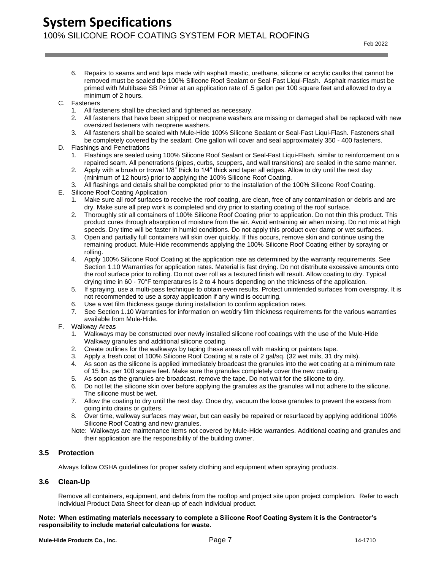## **System Specifications** 100% SILICONE ROOF COATING SYSTEM FOR METAL ROOFING

- 6. Repairs to seams and end laps made with asphalt mastic, urethane, silicone or acrylic caulks that cannot be removed must be sealed the 100% Silicone Roof Sealant or Seal-Fast Liqui-Flash. Asphalt mastics must be primed with Multibase SB Primer at an application rate of .5 gallon per 100 square feet and allowed to dry a minimum of 2 hours.
- C. Fasteners
	- 1. All fasteners shall be checked and tightened as necessary.
	- 2. All fasteners that have been stripped or neoprene washers are missing or damaged shall be replaced with new oversized fasteners with neoprene washers.
	- 3. All fasteners shall be sealed with Mule-Hide 100% Silicone Sealant or Seal-Fast Liqui-Flash. Fasteners shall be completely covered by the sealant. One gallon will cover and seal approximately 350 - 400 fasteners.
- D. Flashings and Penetrations
	- 1. Flashings are sealed using 100% Silicone Roof Sealant or Seal-Fast Liqui-Flash, similar to reinforcement on a repaired seam. All penetrations (pipes, curbs, scuppers, and wall transitions) are sealed in the same manner.
	- 2. Apply with a brush or trowel 1/8" thick to 1/4" thick and taper all edges. Allow to dry until the next day (minimum of 12 hours) prior to applying the 100% Silicone Roof Coating.
	- 3. All flashings and details shall be completed prior to the installation of the 100% Silicone Roof Coating.
- E. Silicone Roof Coating Application
	- 1. Make sure all roof surfaces to receive the roof coating, are clean, free of any contamination or debris and are dry. Make sure all prep work is completed and dry prior to starting coating of the roof surface.
	- 2. Thoroughly stir all containers of 100% Silicone Roof Coating prior to application. Do not thin this product. This product cures through absorption of moisture from the air. Avoid entraining air when mixing. Do not mix at high speeds. Dry time will be faster in humid conditions. Do not apply this product over damp or wet surfaces.
	- 3. Open and partially full containers will skin over quickly. If this occurs, remove skin and continue using the remaining product. Mule-Hide recommends applying the 100% Silicone Roof Coating either by spraying or rolling.
	- 4. Apply 100% Silicone Roof Coating at the application rate as determined by the warranty requirements. See Section 1.10 Warranties for application rates. Material is fast drying. Do not distribute excessive amounts onto the roof surface prior to rolling. Do not over roll as a textured finish will result. Allow coating to dry. Typical drying time in 60 - 70°F temperatures is 2 to 4 hours depending on the thickness of the application.
	- 5. If spraying, use a multi-pass technique to obtain even results. Protect unintended surfaces from overspray. It is not recommended to use a spray application if any wind is occurring.
	- 6. Use a wet film thickness gauge during installation to confirm application rates.
	- 7. See Section 1.10 Warranties for information on wet/dry film thickness requirements for the various warranties available from Mule-Hide.
- F. Walkway Areas
	- 1. Walkways may be constructed over newly installed silicone roof coatings with the use of the Mule-Hide Walkway granules and additional silicone coating.
	- 2. Create outlines for the walkways by taping these areas off with masking or painters tape.
	- 3. Apply a fresh coat of 100% Silicone Roof Coating at a rate of 2 gal/sq. (32 wet mils, 31 dry mils).
	- 4. As soon as the silicone is applied immediately broadcast the granules into the wet coating at a minimum rate of 15 lbs. per 100 square feet. Make sure the granules completely cover the new coating.
	- 5. As soon as the granules are broadcast, remove the tape. Do not wait for the silicone to dry.
	- 6. Do not let the silicone skin over before applying the granules as the granules will not adhere to the silicone. The silicone must be wet.
	- 7. Allow the coating to dry until the next day. Once dry, vacuum the loose granules to prevent the excess from going into drains or gutters.
	- 8. Over time, walkway surfaces may wear, but can easily be repaired or resurfaced by applying additional 100% Silicone Roof Coating and new granules.
	- Note: Walkways are maintenance items not covered by Mule-Hide warranties. Additional coating and granules and their application are the responsibility of the building owner.

#### **3.5 Protection**

Always follow OSHA guidelines for proper safety clothing and equipment when spraying products.

#### **3.6 Clean-Up**

Remove all containers, equipment, and debris from the rooftop and project site upon project completion. Refer to each individual Product Data Sheet for clean-up of each individual product.

#### **Note: When estimating materials necessary to complete a Silicone Roof Coating System it is the Contractor's responsibility to include material calculations for waste.**